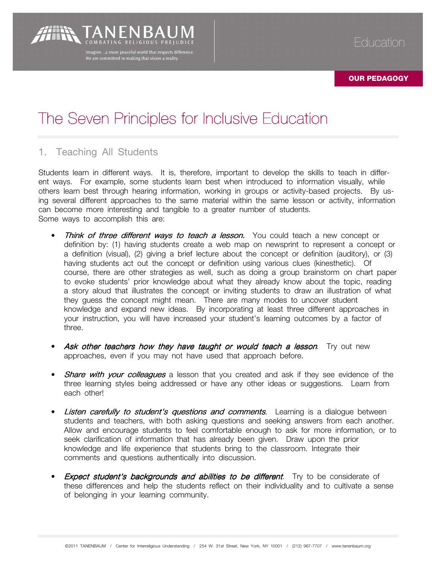# The Seven Principles for Inclusive Education

Imagine...a more peaceful world that respects difference We are committed to making that vision a reality.

## 1. Teaching All Students

Students learn in different ways. It is, therefore, important to develop the skills to teach in different ways. For example, some students learn best when introduced to information visually, while others learn best through hearing information, working in groups or activity-based projects. By using several different approaches to the same material within the same lesson or activity, information can become more interesting and tangible to a greater number of students. Some ways to accomplish this are:

- Think of three different ways to teach a lesson. You could teach a new concept or definition by: (1) having students create a web map on newsprint to represent a concept or a definition (visual), (2) giving a brief lecture about the concept or definition (auditory), or (3) having students act out the concept or definition using various clues (kinesthetic). Of course, there are other strategies as well, such as doing a group brainstorm on chart paper to evoke students' prior knowledge about what they already know about the topic, reading a story aloud that illustrates the concept or inviting students to draw an illustration of what they guess the concept might mean. There are many modes to uncover student knowledge and expand new ideas. By incorporating at least three different approaches in your instruction, you will have increased your student's learning outcomes by a factor of three.
- Ask other teachers how they have taught or would teach a lesson. Try out new approaches, even if you may not have used that approach before.
- **Share with your colleagues** a lesson that you created and ask if they see evidence of the three learning styles being addressed or have any other ideas or suggestions. Learn from each other!
- **Listen carefully to student's questions and comments**. Learning is a dialogue between students and teachers, with both asking questions and seeking answers from each another. Allow and encourage students to feel comfortable enough to ask for more information, or to seek clarification of information that has already been given. Draw upon the prior knowledge and life experience that students bring to the classroom. Integrate their comments and questions authentically into discussion.
- **Expect student's backgrounds and abilities to be different**. Try to be considerate of these differences and help the students reflect on their individuality and to cultivate a sense of belonging in your learning community.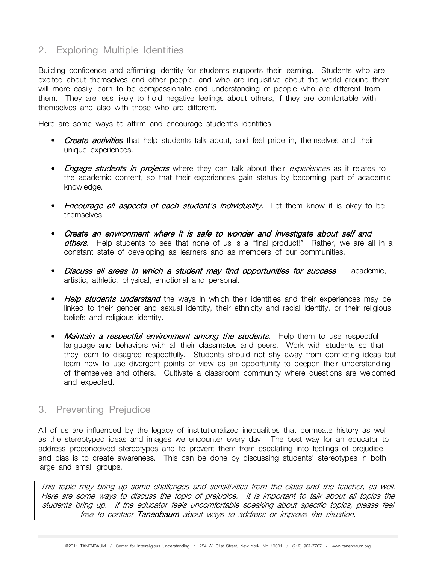## 2. Exploring Multiple Identities

Building confidence and affirming identity for students supports their learning. Students who are excited about themselves and other people, and who are inquisitive about the world around them will more easily learn to be compassionate and understanding of people who are different from them. They are less likely to hold negative feelings about others, if they are comfortable with themselves and also with those who are different.

Here are some ways to affirm and encourage student's identities:

- Create activities that help students talk about, and feel pride in, themselves and their unique experiences.
- Engage students in projects where they can talk about their experiences as it relates to the academic content, so that their experiences gain status by becoming part of academic knowledge.
- **Encourage all aspects of each student's individuality.** Let them know it is okay to be themselves.
- Create an environment where it is safe to wonder and investigate about self and others. Help students to see that none of us is a "final product!" Rather, we are all in a constant state of developing as learners and as members of our communities.
- Discuss all areas in which a student may find opportunities for success academic, artistic, athletic, physical, emotional and personal.
- Help students understand the ways in which their identities and their experiences may be linked to their gender and sexual identity, their ethnicity and racial identity, or their religious beliefs and religious identity.
- Maintain a respectful environment among the students. Help them to use respectful language and behaviors with all their classmates and peers. Work with students so that they learn to disagree respectfully. Students should not shy away from conflicting ideas but learn how to use divergent points of view as an opportunity to deepen their understanding of themselves and others. Cultivate a classroom community where questions are welcomed and expected.

#### 3. Preventing Prejudice

All of us are influenced by the legacy of institutionalized inequalities that permeate history as well as the stereotyped ideas and images we encounter every day. The best way for an educator to address preconceived stereotypes and to prevent them from escalating into feelings of prejudice and bias is to create awareness. This can be done by discussing students' stereotypes in both large and small groups.

This topic may bring up some challenges and sensitivities from the class and the teacher, as well. Here are some ways to discuss the topic of prejudice. It is important to talk about all topics the students bring up. If the educator feels uncomfortable speaking about specific topics, please feel free to contact Tanenbaum about ways to address or improve the situation.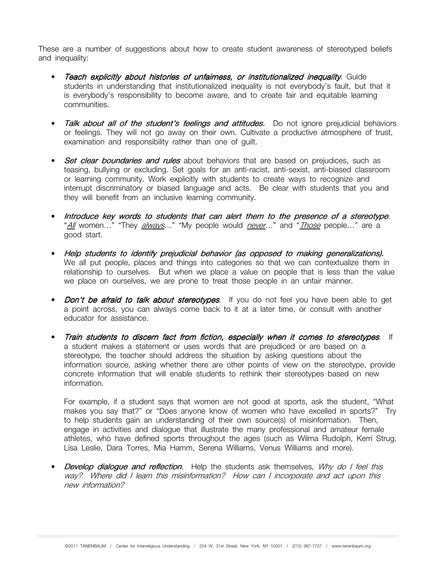These are a number of suggestions about how to create student awareness of stereotyped beliefs and inequality:

- Teach explicitly about histories of unfairness, or institutionalized inequality. Guide students in understanding that institutionalized inequality is not everybody's fault, but that it is everybody's responsibility to become aware, and to create fair and equitable learning communities.
- **Talk about all of the student's feelings and attitudes.** Do not ignore prejudicial behaviors or feelings. They will not go away on their own. Cultivate a productive atmosphere of trust, examination and responsibility rather than one of guilt.
- **Set clear boundaries and rules** about behaviors that are based on prejudices, such as teasing, bullying or excluding. Set goals for an anti-racist, anti-sexist, anti-biased classroom or learning community. Work explicitly with students to create ways to recognize and interrupt discriminatory or biased language and acts. Be clear with students that you and they will benefit from an inclusive learning community.
- Introduce key words to students that can alert them to the presence of a stereotype. "All women..." "They *always*..." "My people would *never*..." and "*Those* people..." are a good start.
- Help students to identify prejudicial behavior (as opposed to making generalizations). We all put people, places and things into categories so that we can contextualize them in relationship to ourselves. But when we place a value on people that is less than the value we place on ourselves, we are prone to treat those people in an unfair manner.
- *Don't be afraid to talk about stereotypes*. If you do not feel you have been able to get a point across, you can always come back to it at a later time, or consult with another educator for assistance.
- Train students to discern fact from fiction, especially when it comes to stereotypes. If a student makes a statement or uses words that are prejudiced or are based on a stereotype, the teacher should address the situation by asking questions about the information source, asking whether there are other points of view on the stereotype, provide concrete information that will enable students to rethink their stereotypes based on new information.

For example, if a student says that women are not good at sports, ask the student, "What makes you say that?" or "Does anyone know of women who have excelled in sports?" Try to help students gain an understanding of their own source(s) of misinformation. Then, engage in activities and dialogue that illustrate the many professional and amateur female athletes, who have defined sports throughout the ages (such as Wilma Rudolph, Kerri Strug, Lisa Leslie, Dara Torres, Mia Hamm, Serena Williams, Venus Williams and more).

• Develop dialogue and reflection. Help the students ask themselves, Why do I feel this way? Where did I learn this misinformation? How can I incorporate and act upon this new information?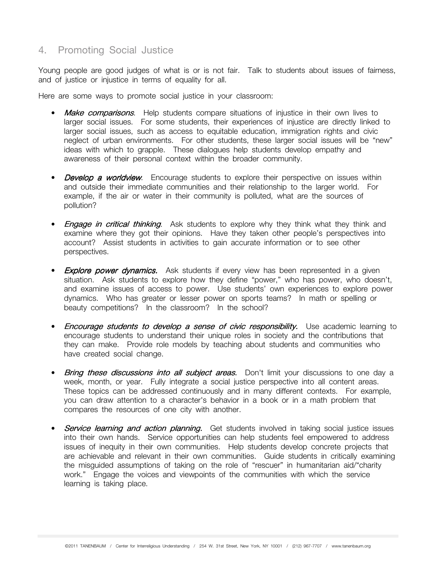## 4. Promoting Social Justice

Young people are good judges of what is or is not fair. Talk to students about issues of fairness, and of justice or injustice in terms of equality for all.

Here are some ways to promote social justice in your classroom:

- Make comparisons. Help students compare situations of injustice in their own lives to larger social issues. For some students, their experiences of injustice are directly linked to larger social issues, such as access to equitable education, immigration rights and civic neglect of urban environments. For other students, these larger social issues will be "new" ideas with which to grapple. These dialogues help students develop empathy and awareness of their personal context within the broader community.
- Develop a worldview. Encourage students to explore their perspective on issues within and outside their immediate communities and their relationship to the larger world. For example, if the air or water in their community is polluted, what are the sources of pollution?
- Engage in critical thinking. Ask students to explore why they think what they think and examine where they got their opinions. Have they taken other people's perspectives into account? Assist students in activities to gain accurate information or to see other perspectives.
- Explore power dynamics. Ask students if every view has been represented in a given situation. Ask students to explore how they define "power," who has power, who doesn't, and examine issues of access to power. Use students' own experiences to explore power dynamics. Who has greater or lesser power on sports teams? In math or spelling or beauty competitions? In the classroom? In the school?
- Encourage students to develop a sense of civic responsibility. Use academic learning to encourage students to understand their unique roles in society and the contributions that they can make. Provide role models by teaching about students and communities who have created social change.
- Bring these discussions into all subject areas. Don't limit your discussions to one day a week, month, or year. Fully integrate a social justice perspective into all content areas. These topics can be addressed continuously and in many different contexts. For example, you can draw attention to a character's behavior in a book or in a math problem that compares the resources of one city with another.
- Service learning and action planning. Get students involved in taking social justice issues into their own hands. Service opportunities can help students feel empowered to address issues of inequity in their own communities. Help students develop concrete projects that are achievable and relevant in their own communities. Guide students in critically examining the misguided assumptions of taking on the role of "rescuer" in humanitarian aid/"charity work." Engage the voices and viewpoints of the communities with which the service learning is taking place.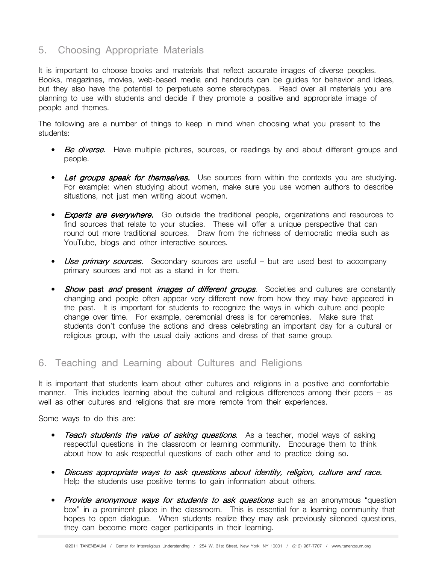## 5. Choosing Appropriate Materials

It is important to choose books and materials that reflect accurate images of diverse peoples. Books, magazines, movies, web-based media and handouts can be guides for behavior and ideas, but they also have the potential to perpetuate some stereotypes. Read over all materials you are planning to use with students and decide if they promote a positive and appropriate image of people and themes.

The following are a number of things to keep in mind when choosing what you present to the students:

- Be diverse. Have multiple pictures, sources, or readings by and about different groups and people.
- Let groups speak for themselves. Use sources from within the contexts you are studying. For example: when studying about women, make sure you use women authors to describe situations, not just men writing about women.
- Experts are everywhere. Go outside the traditional people, organizations and resources to find sources that relate to your studies. These will offer a unique perspective that can round out more traditional sources. Draw from the richness of democratic media such as YouTube, blogs and other interactive sources.
- Use primary sources. Secondary sources are useful but are used best to accompany primary sources and not as a stand in for them.
- Show past and present images of different groups. Societies and cultures are constantly changing and people often appear very different now from how they may have appeared in the past. It is important for students to recognize the ways in which culture and people change over time. For example, ceremonial dress is for ceremonies. Make sure that students don't confuse the actions and dress celebrating an important day for a cultural or religious group, with the usual daily actions and dress of that same group.

### 6. Teaching and Learning about Cultures and Religions

It is important that students learn about other cultures and religions in a positive and comfortable manner. This includes learning about the cultural and religious differences among their peers – as well as other cultures and religions that are more remote from their experiences.

Some ways to do this are:

- **Teach students the value of asking questions.** As a teacher, model ways of asking respectful questions in the classroom or learning community. Encourage them to think about how to ask respectful questions of each other and to practice doing so.
- Discuss appropriate ways to ask questions about identity, religion, culture and race. Help the students use positive terms to gain information about others.
- Provide anonymous ways for students to ask questions such as an anonymous "question box" in a prominent place in the classroom. This is essential for a learning community that hopes to open dialogue. When students realize they may ask previously silenced questions, they can become more eager participants in their learning.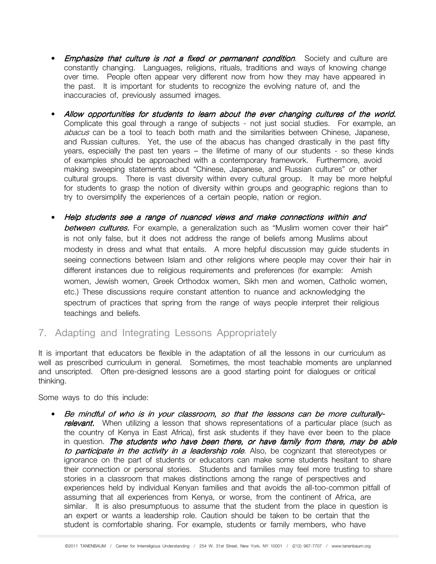- Emphasize that culture is not a fixed or permanent condition. Society and culture are constantly changing. Languages, religions, rituals, traditions and ways of knowing change over time. People often appear very different now from how they may have appeared in the past. It is important for students to recognize the evolving nature of, and the inaccuracies of, previously assumed images.
- Allow opportunities for students to learn about the ever changing cultures of the world. Complicate this goal through a range of subjects - not just social studies. For example, an abacus can be a tool to teach both math and the similarities between Chinese, Japanese, and Russian cultures. Yet, the use of the abacus has changed drastically in the past fifty years, especially the past ten years – the lifetime of many of our students - so these kinds of examples should be approached with a contemporary framework. Furthermore, avoid making sweeping statements about "Chinese, Japanese, and Russian cultures" or other cultural groups. There is vast diversity within every cultural group. It may be more helpful for students to grasp the notion of diversity within groups and geographic regions than to try to oversimplify the experiences of a certain people, nation or region.
- Help students see a range of nuanced views and make connections within and **between cultures.** For example, a generalization such as "Muslim women cover their hair" is not only false, but it does not address the range of beliefs among Muslims about modesty in dress and what that entails. A more helpful discussion may guide students in seeing connections between Islam and other religions where people may cover their hair in different instances due to religious requirements and preferences (for example: Amish women, Jewish women, Greek Orthodox women, Sikh men and women, Catholic women, etc.) These discussions require constant attention to nuance and acknowledging the spectrum of practices that spring from the range of ways people interpret their religious teachings and beliefs.
- 7. Adapting and Integrating Lessons Appropriately

It is important that educators be flexible in the adaptation of all the lessons in our curriculum as well as prescribed curriculum in general. Sometimes, the most teachable moments are unplanned and unscripted. Often pre-designed lessons are a good starting point for dialogues or critical thinking.

Some ways to do this include:

Be mindful of who is in your classroom, so that the lessons can be more culturallyrelevant. When utilizing a lesson that shows representations of a particular place (such as the country of Kenya in East Africa), first ask students if they have ever been to the place in question. The students who have been there, or have family from there, may be able to participate in the activity in a leadership role. Also, be cognizant that stereotypes or ignorance on the part of students or educators can make some students hesitant to share their connection or personal stories. Students and families may feel more trusting to share stories in a classroom that makes distinctions among the range of perspectives and experiences held by individual Kenyan families and that avoids the all-too-common pitfall of assuming that all experiences from Kenya, or worse, from the continent of Africa, are similar. It is also presumptuous to assume that the student from the place in question is an expert or wants a leadership role. Caution should be taken to be certain that the student is comfortable sharing. For example, students or family members, who have